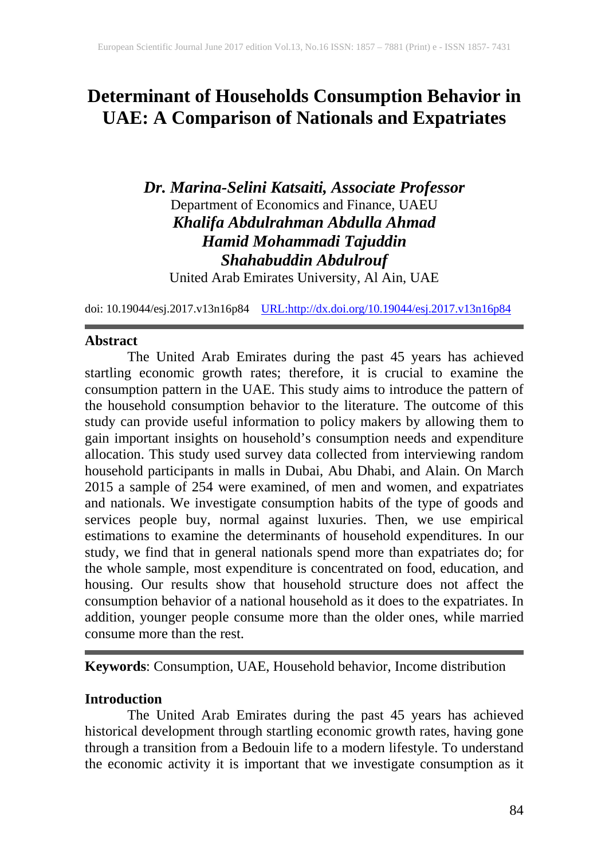# **Determinant of Households Consumption Behavior in UAE: A Comparison of Nationals and Expatriates**

## *Dr. Marina-Selini Katsaiti, Associate Professor* Department of Economics and Finance, UAEU *Khalifa Abdulrahman Abdulla Ahmad Hamid Mohammadi Tajuddin Shahabuddin Abdulrouf*

United Arab Emirates University, Al Ain, UAE

doi: 10.19044/esj.2017.v13n16p84 [URL:http://dx.doi.org/10.19044/esj.2017.v13n16p84](http://dx.doi.org/10.19044/esj.2017.v13n16p84)

## **Abstract**

The United Arab Emirates during the past 45 years has achieved startling economic growth rates; therefore, it is crucial to examine the consumption pattern in the UAE. This study aims to introduce the pattern of the household consumption behavior to the literature. The outcome of this study can provide useful information to policy makers by allowing them to gain important insights on household's consumption needs and expenditure allocation. This study used survey data collected from interviewing random household participants in malls in Dubai, Abu Dhabi, and Alain. On March 2015 a sample of 254 were examined, of men and women, and expatriates and nationals. We investigate consumption habits of the type of goods and services people buy, normal against luxuries. Then, we use empirical estimations to examine the determinants of household expenditures. In our study, we find that in general nationals spend more than expatriates do; for the whole sample, most expenditure is concentrated on food, education, and housing. Our results show that household structure does not affect the consumption behavior of a national household as it does to the expatriates. In addition, younger people consume more than the older ones, while married consume more than the rest.

**Keywords**: Consumption, UAE, Household behavior, Income distribution

## **Introduction**

The United Arab Emirates during the past 45 years has achieved historical development through startling economic growth rates, having gone through a transition from a Bedouin life to a modern lifestyle. To understand the economic activity it is important that we investigate consumption as it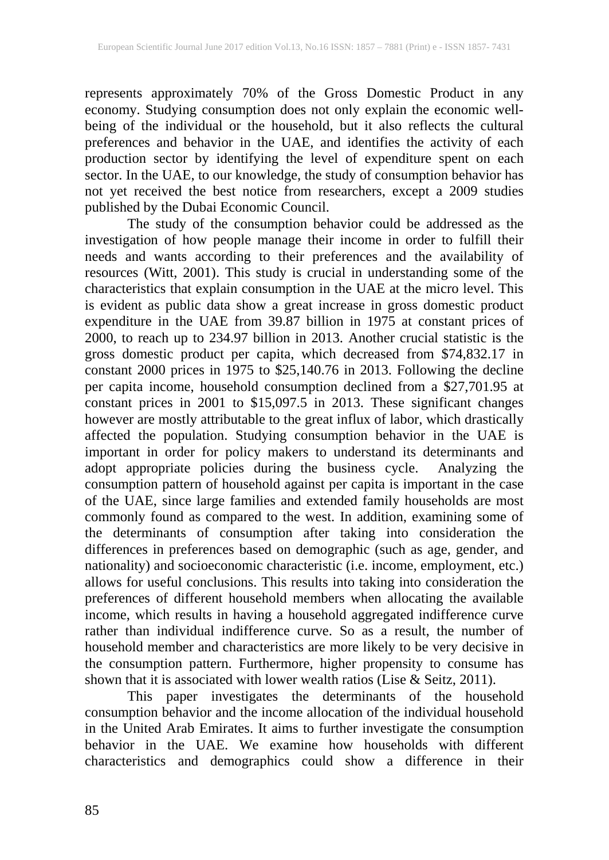represents approximately 70% of the Gross Domestic Product in any economy. Studying consumption does not only explain the economic wellbeing of the individual or the household, but it also reflects the cultural preferences and behavior in the UAE, and identifies the activity of each production sector by identifying the level of expenditure spent on each sector. In the UAE, to our knowledge, the study of consumption behavior has not yet received the best notice from researchers, except a 2009 studies published by the Dubai Economic Council.

The study of the consumption behavior could be addressed as the investigation of how people manage their income in order to fulfill their needs and wants according to their preferences and the availability of resources (Witt, 2001). This study is crucial in understanding some of the characteristics that explain consumption in the UAE at the micro level. This is evident as public data show a great increase in gross domestic product expenditure in the UAE from 39.87 billion in 1975 at constant prices of 2000, to reach up to 234.97 billion in 2013. Another crucial statistic is the gross domestic product per capita, which decreased from \$74,832.17 in constant 2000 prices in 1975 to \$25,140.76 in 2013. Following the decline per capita income, household consumption declined from a \$27,701.95 at constant prices in 2001 to \$15,097.5 in 2013. These significant changes however are mostly attributable to the great influx of labor, which drastically affected the population. Studying consumption behavior in the UAE is important in order for policy makers to understand its determinants and adopt appropriate policies during the business cycle. Analyzing the consumption pattern of household against per capita is important in the case of the UAE, since large families and extended family households are most commonly found as compared to the west. In addition, examining some of the determinants of consumption after taking into consideration the differences in preferences based on demographic (such as age, gender, and nationality) and socioeconomic characteristic (i.e. income, employment, etc.) allows for useful conclusions. This results into taking into consideration the preferences of different household members when allocating the available income, which results in having a household aggregated indifference curve rather than individual indifference curve. So as a result, the number of household member and characteristics are more likely to be very decisive in the consumption pattern. Furthermore, higher propensity to consume has shown that it is associated with lower wealth ratios (Lise & Seitz, 2011).

This paper investigates the determinants of the household consumption behavior and the income allocation of the individual household in the United Arab Emirates. It aims to further investigate the consumption behavior in the UAE. We examine how households with different characteristics and demographics could show a difference in their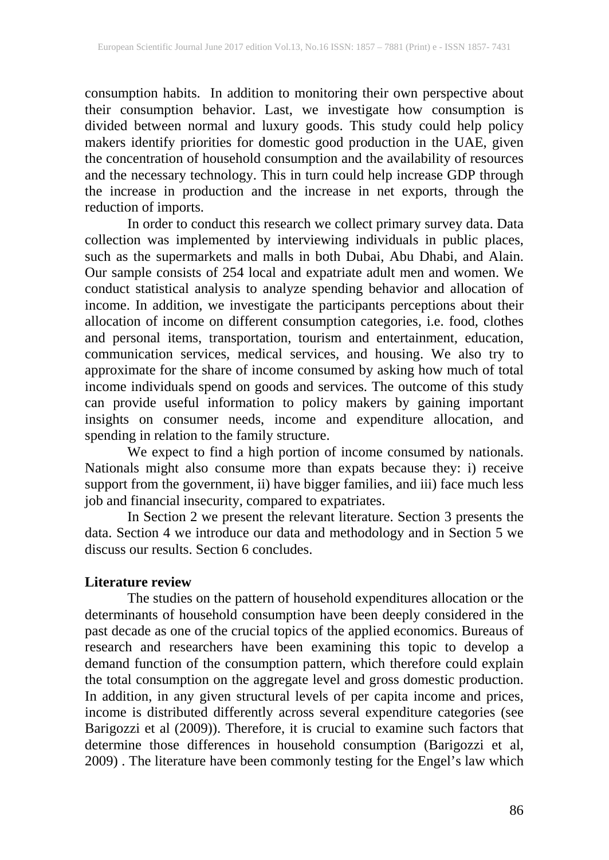consumption habits. In addition to monitoring their own perspective about their consumption behavior. Last, we investigate how consumption is divided between normal and luxury goods. This study could help policy makers identify priorities for domestic good production in the UAE, given the concentration of household consumption and the availability of resources and the necessary technology. This in turn could help increase GDP through the increase in production and the increase in net exports, through the reduction of imports.

In order to conduct this research we collect primary survey data. Data collection was implemented by interviewing individuals in public places, such as the supermarkets and malls in both Dubai, Abu Dhabi, and Alain. Our sample consists of 254 local and expatriate adult men and women. We conduct statistical analysis to analyze spending behavior and allocation of income. In addition, we investigate the participants perceptions about their allocation of income on different consumption categories, i.e. food, clothes and personal items, transportation, tourism and entertainment, education, communication services, medical services, and housing. We also try to approximate for the share of income consumed by asking how much of total income individuals spend on goods and services. The outcome of this study can provide useful information to policy makers by gaining important insights on consumer needs, income and expenditure allocation, and spending in relation to the family structure.

We expect to find a high portion of income consumed by nationals. Nationals might also consume more than expats because they: i) receive support from the government, ii) have bigger families, and iii) face much less job and financial insecurity, compared to expatriates.

In Section 2 we present the relevant literature. Section 3 presents the data. Section 4 we introduce our data and methodology and in Section 5 we discuss our results. Section 6 concludes.

## **Literature review**

The studies on the pattern of household expenditures allocation or the determinants of household consumption have been deeply considered in the past decade as one of the crucial topics of the applied economics. Bureaus of research and researchers have been examining this topic to develop a demand function of the consumption pattern, which therefore could explain the total consumption on the aggregate level and gross domestic production. In addition, in any given structural levels of per capita income and prices, income is distributed differently across several expenditure categories (see Barigozzi et al (2009)). Therefore, it is crucial to examine such factors that determine those differences in household consumption (Barigozzi et al, 2009) . The literature have been commonly testing for the Engel's law which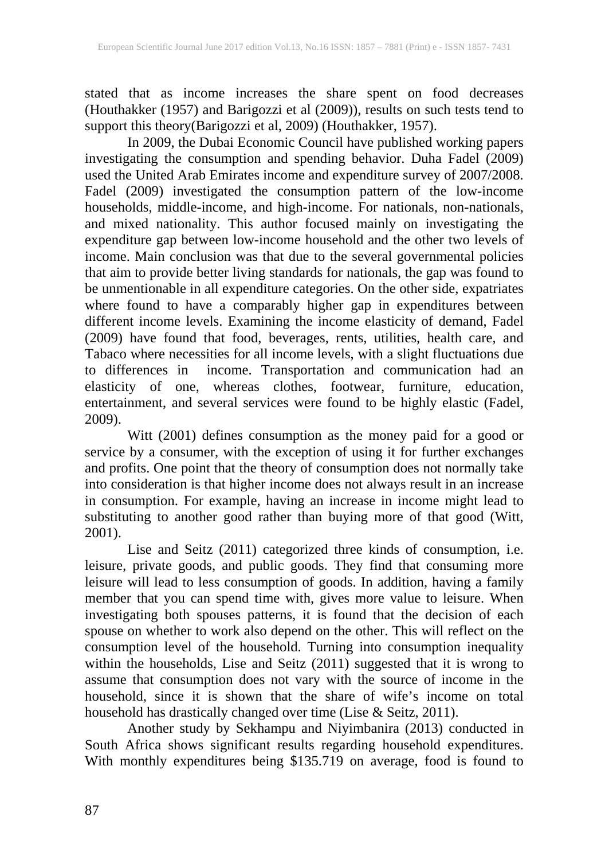stated that as income increases the share spent on food decreases (Houthakker (1957) and Barigozzi et al (2009)), results on such tests tend to support this theory(Barigozzi et al, 2009) (Houthakker, 1957).

In 2009, the Dubai Economic Council have published working papers investigating the consumption and spending behavior. Duha Fadel (2009) used the United Arab Emirates income and expenditure survey of 2007/2008. Fadel (2009) investigated the consumption pattern of the low-income households, middle-income, and high-income. For nationals, non-nationals, and mixed nationality. This author focused mainly on investigating the expenditure gap between low-income household and the other two levels of income. Main conclusion was that due to the several governmental policies that aim to provide better living standards for nationals, the gap was found to be unmentionable in all expenditure categories. On the other side, expatriates where found to have a comparably higher gap in expenditures between different income levels. Examining the income elasticity of demand, Fadel (2009) have found that food, beverages, rents, utilities, health care, and Tabaco where necessities for all income levels, with a slight fluctuations due to differences in income. Transportation and communication had an elasticity of one, whereas clothes, footwear, furniture, education, entertainment, and several services were found to be highly elastic (Fadel, 2009).

Witt (2001) defines consumption as the money paid for a good or service by a consumer, with the exception of using it for further exchanges and profits. One point that the theory of consumption does not normally take into consideration is that higher income does not always result in an increase in consumption. For example, having an increase in income might lead to substituting to another good rather than buying more of that good (Witt, 2001).

Lise and Seitz (2011) categorized three kinds of consumption, i.e. leisure, private goods, and public goods. They find that consuming more leisure will lead to less consumption of goods. In addition, having a family member that you can spend time with, gives more value to leisure. When investigating both spouses patterns, it is found that the decision of each spouse on whether to work also depend on the other. This will reflect on the consumption level of the household. Turning into consumption inequality within the households, Lise and Seitz (2011) suggested that it is wrong to assume that consumption does not vary with the source of income in the household, since it is shown that the share of wife's income on total household has drastically changed over time (Lise & Seitz, 2011).

Another study by Sekhampu and Niyimbanira (2013) conducted in South Africa shows significant results regarding household expenditures. With monthly expenditures being \$135.719 on average, food is found to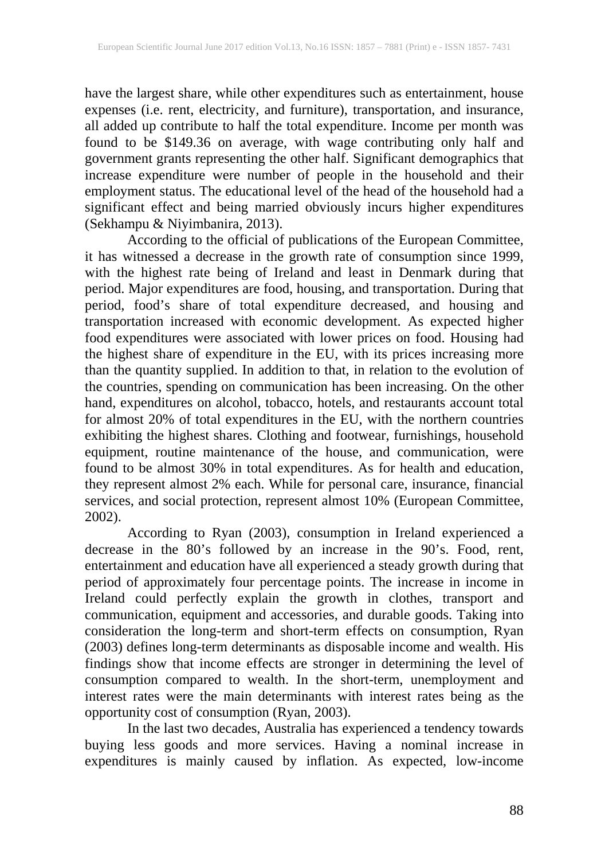have the largest share, while other expenditures such as entertainment, house expenses (i.e. rent, electricity, and furniture), transportation, and insurance, all added up contribute to half the total expenditure. Income per month was found to be \$149.36 on average, with wage contributing only half and government grants representing the other half. Significant demographics that increase expenditure were number of people in the household and their employment status. The educational level of the head of the household had a significant effect and being married obviously incurs higher expenditures (Sekhampu & Niyimbanira, 2013).

According to the official of publications of the European Committee, it has witnessed a decrease in the growth rate of consumption since 1999, with the highest rate being of Ireland and least in Denmark during that period. Major expenditures are food, housing, and transportation. During that period, food's share of total expenditure decreased, and housing and transportation increased with economic development. As expected higher food expenditures were associated with lower prices on food. Housing had the highest share of expenditure in the EU, with its prices increasing more than the quantity supplied. In addition to that, in relation to the evolution of the countries, spending on communication has been increasing. On the other hand, expenditures on alcohol, tobacco, hotels, and restaurants account total for almost 20% of total expenditures in the EU, with the northern countries exhibiting the highest shares. Clothing and footwear, furnishings, household equipment, routine maintenance of the house, and communication, were found to be almost 30% in total expenditures. As for health and education, they represent almost 2% each. While for personal care, insurance, financial services, and social protection, represent almost 10% (European Committee, 2002).

According to Ryan (2003), consumption in Ireland experienced a decrease in the 80's followed by an increase in the 90's. Food, rent, entertainment and education have all experienced a steady growth during that period of approximately four percentage points. The increase in income in Ireland could perfectly explain the growth in clothes, transport and communication, equipment and accessories, and durable goods. Taking into consideration the long-term and short-term effects on consumption, Ryan (2003) defines long-term determinants as disposable income and wealth. His findings show that income effects are stronger in determining the level of consumption compared to wealth. In the short-term, unemployment and interest rates were the main determinants with interest rates being as the opportunity cost of consumption (Ryan, 2003).

In the last two decades, Australia has experienced a tendency towards buying less goods and more services. Having a nominal increase in expenditures is mainly caused by inflation. As expected, low-income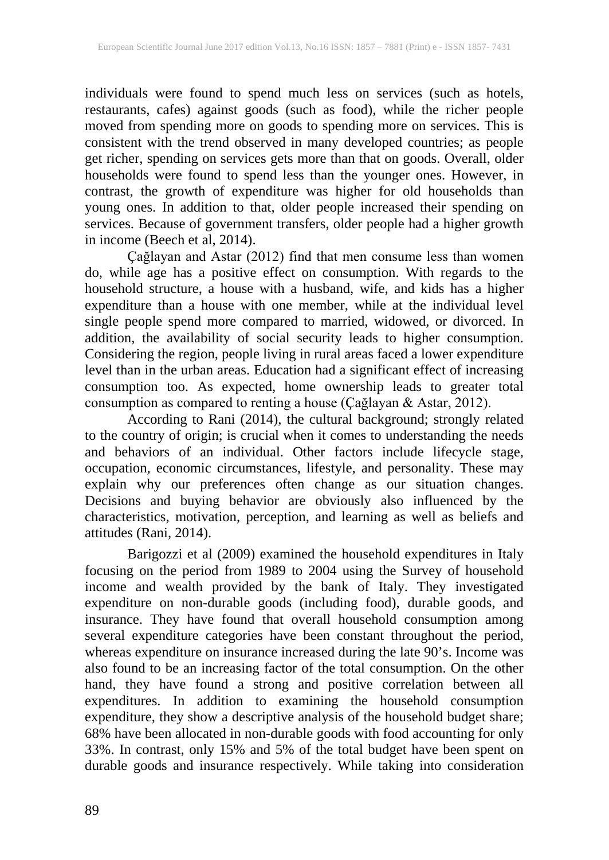individuals were found to spend much less on services (such as hotels, restaurants, cafes) against goods (such as food), while the richer people moved from spending more on goods to spending more on services. This is consistent with the trend observed in many developed countries; as people get richer, spending on services gets more than that on goods. Overall, older households were found to spend less than the younger ones. However, in contrast, the growth of expenditure was higher for old households than young ones. In addition to that, older people increased their spending on services. Because of government transfers, older people had a higher growth in income (Beech et al, 2014).

Çağlayan and Astar (2012) find that men consume less than women do, while age has a positive effect on consumption. With regards to the household structure, a house with a husband, wife, and kids has a higher expenditure than a house with one member, while at the individual level single people spend more compared to married, widowed, or divorced. In addition, the availability of social security leads to higher consumption. Considering the region, people living in rural areas faced a lower expenditure level than in the urban areas. Education had a significant effect of increasing consumption too. As expected, home ownership leads to greater total consumption as compared to renting a house (Çağlayan & Astar, 2012).

According to Rani (2014), the cultural background; strongly related to the country of origin; is crucial when it comes to understanding the needs and behaviors of an individual. Other factors include lifecycle stage, occupation, economic circumstances, lifestyle, and personality. These may explain why our preferences often change as our situation changes. Decisions and buying behavior are obviously also influenced by the characteristics, motivation, perception, and learning as well as beliefs and attitudes (Rani, 2014).

Barigozzi et al (2009) examined the household expenditures in Italy focusing on the period from 1989 to 2004 using the Survey of household income and wealth provided by the bank of Italy. They investigated expenditure on non-durable goods (including food), durable goods, and insurance. They have found that overall household consumption among several expenditure categories have been constant throughout the period, whereas expenditure on insurance increased during the late 90's. Income was also found to be an increasing factor of the total consumption. On the other hand, they have found a strong and positive correlation between all expenditures. In addition to examining the household consumption expenditure, they show a descriptive analysis of the household budget share; 68% have been allocated in non-durable goods with food accounting for only 33%. In contrast, only 15% and 5% of the total budget have been spent on durable goods and insurance respectively. While taking into consideration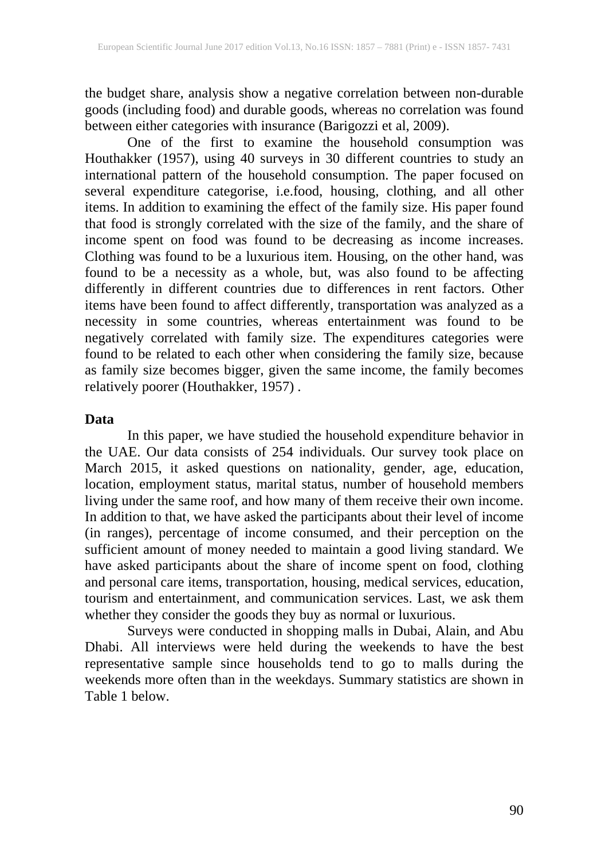the budget share, analysis show a negative correlation between non-durable goods (including food) and durable goods, whereas no correlation was found between either categories with insurance (Barigozzi et al, 2009).

One of the first to examine the household consumption was Houthakker (1957), using 40 surveys in 30 different countries to study an international pattern of the household consumption. The paper focused on several expenditure categorise, i.e.food, housing, clothing, and all other items. In addition to examining the effect of the family size. His paper found that food is strongly correlated with the size of the family, and the share of income spent on food was found to be decreasing as income increases. Clothing was found to be a luxurious item. Housing, on the other hand, was found to be a necessity as a whole, but, was also found to be affecting differently in different countries due to differences in rent factors. Other items have been found to affect differently, transportation was analyzed as a necessity in some countries, whereas entertainment was found to be negatively correlated with family size. The expenditures categories were found to be related to each other when considering the family size, because as family size becomes bigger, given the same income, the family becomes relatively poorer (Houthakker, 1957) .

#### **Data**

In this paper, we have studied the household expenditure behavior in the UAE. Our data consists of 254 individuals. Our survey took place on March 2015, it asked questions on nationality, gender, age, education, location, employment status, marital status, number of household members living under the same roof, and how many of them receive their own income. In addition to that, we have asked the participants about their level of income (in ranges), percentage of income consumed, and their perception on the sufficient amount of money needed to maintain a good living standard. We have asked participants about the share of income spent on food, clothing and personal care items, transportation, housing, medical services, education, tourism and entertainment, and communication services. Last, we ask them whether they consider the goods they buy as normal or luxurious.

Surveys were conducted in shopping malls in Dubai, Alain, and Abu Dhabi. All interviews were held during the weekends to have the best representative sample since households tend to go to malls during the weekends more often than in the weekdays. Summary statistics are shown in Table 1 below.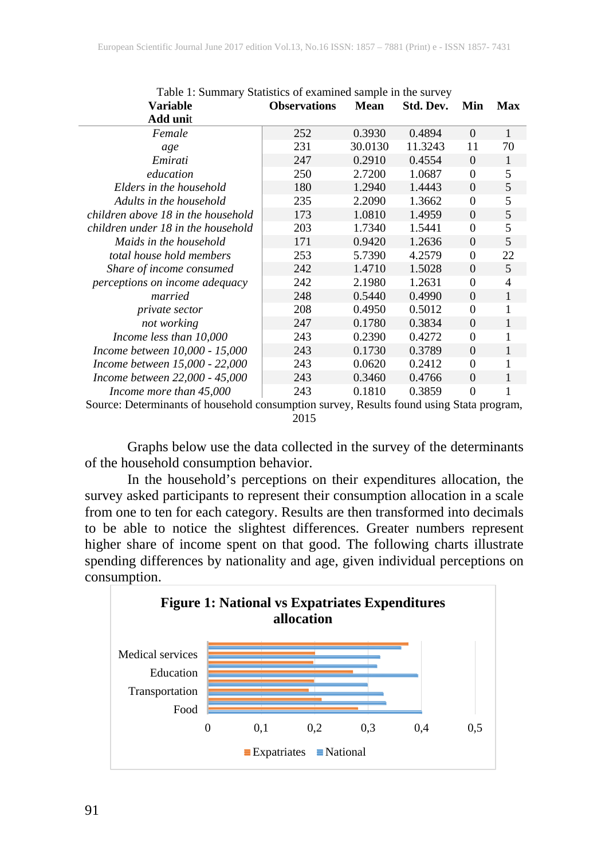| Table 1. Summary Statistics of examined sample in the survey |                     |             |           |                |                |  |  |  |  |  |
|--------------------------------------------------------------|---------------------|-------------|-----------|----------------|----------------|--|--|--|--|--|
| <b>Variable</b>                                              | <b>Observations</b> | <b>Mean</b> | Std. Dev. | Min            | <b>Max</b>     |  |  |  |  |  |
| <b>Add unit</b>                                              |                     |             |           |                |                |  |  |  |  |  |
| Female                                                       | 252                 | 0.3930      | 0.4894    | $\mathbf{0}$   | $\mathbf{1}$   |  |  |  |  |  |
| age                                                          | 231                 | 30.0130     | 11.3243   | 11             | 70             |  |  |  |  |  |
| Emirati                                                      | 247                 | 0.2910      | 0.4554    | $\theta$       | 1              |  |  |  |  |  |
| education                                                    | 250                 | 2.7200      | 1.0687    | $\theta$       | 5              |  |  |  |  |  |
| Elders in the household                                      | 180                 | 1.2940      | 1.4443    | $\theta$       | $\mathfrak s$  |  |  |  |  |  |
| Adults in the household                                      | 235                 | 2.2090      | 1.3662    | 0              | 5              |  |  |  |  |  |
| children above 18 in the household                           | 173                 | 1.0810      | 1.4959    | $\overline{0}$ | $\mathfrak s$  |  |  |  |  |  |
| children under 18 in the household                           | 203                 | 1.7340      | 1.5441    | 0              | 5              |  |  |  |  |  |
| Maids in the household                                       | 171                 | 0.9420      | 1.2636    | $\overline{0}$ | 5              |  |  |  |  |  |
| total house hold members                                     | 253                 | 5.7390      | 4.2579    | $\theta$       | 22             |  |  |  |  |  |
| Share of income consumed                                     | 242                 | 1.4710      | 1.5028    | $\theta$       | 5              |  |  |  |  |  |
| perceptions on income adequacy                               | 242                 | 2.1980      | 1.2631    | $\Omega$       | $\overline{4}$ |  |  |  |  |  |
| married                                                      | 248                 | 0.5440      | 0.4990    | $\theta$       | $\mathbf{1}$   |  |  |  |  |  |
| <i>private sector</i>                                        | 208                 | 0.4950      | 0.5012    | $\overline{0}$ | 1              |  |  |  |  |  |
| not working                                                  | 247                 | 0.1780      | 0.3834    | $\Omega$       | $\mathbf{1}$   |  |  |  |  |  |
| Income less than 10,000                                      | 243                 | 0.2390      | 0.4272    | $\theta$       | 1              |  |  |  |  |  |
| Income between 10,000 - 15,000                               | 243                 | 0.1730      | 0.3789    | $\Omega$       | 1              |  |  |  |  |  |
| Income between 15,000 - 22,000                               | 243                 | 0.0620      | 0.2412    | $\theta$       | 1              |  |  |  |  |  |
| Income between 22,000 - 45,000                               | 243                 | 0.3460      | 0.4766    | $\theta$       | $\mathbf{1}$   |  |  |  |  |  |
| Income more than 45,000                                      | 243                 | 0.1810      | 0.3859    | $\overline{0}$ | 1              |  |  |  |  |  |

Table 1: Summary Statistics of examined sample in the survey

Source: Determinants of household consumption survey, Results found using Stata program, 2015

Graphs below use the data collected in the survey of the determinants of the household consumption behavior.

In the household's perceptions on their expenditures allocation, the survey asked participants to represent their consumption allocation in a scale from one to ten for each category. Results are then transformed into decimals to be able to notice the slightest differences. Greater numbers represent higher share of income spent on that good. The following charts illustrate spending differences by nationality and age, given individual perceptions on consumption.

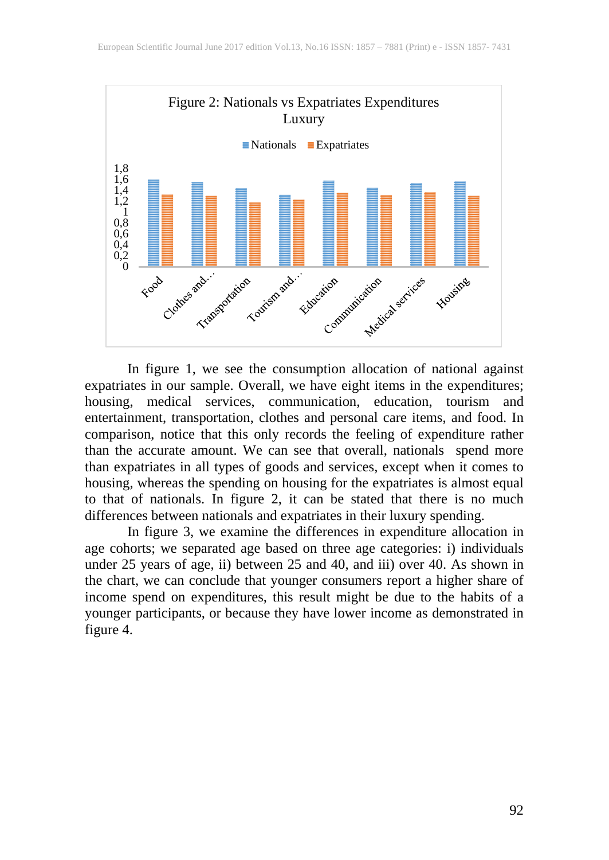

In figure 1, we see the consumption allocation of national against expatriates in our sample. Overall, we have eight items in the expenditures; housing, medical services, communication, education, tourism and entertainment, transportation, clothes and personal care items, and food. In comparison, notice that this only records the feeling of expenditure rather than the accurate amount. We can see that overall, nationals spend more than expatriates in all types of goods and services, except when it comes to housing, whereas the spending on housing for the expatriates is almost equal to that of nationals. In figure 2, it can be stated that there is no much differences between nationals and expatriates in their luxury spending.

In figure 3, we examine the differences in expenditure allocation in age cohorts; we separated age based on three age categories: i) individuals under 25 years of age, ii) between 25 and 40, and iii) over 40. As shown in the chart, we can conclude that younger consumers report a higher share of income spend on expenditures, this result might be due to the habits of a younger participants, or because they have lower income as demonstrated in figure 4.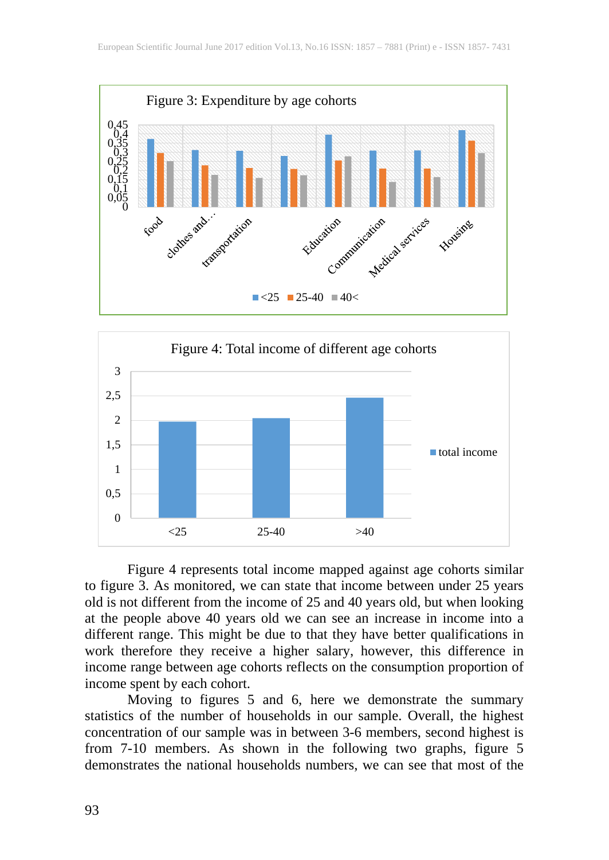



Figure 4 represents total income mapped against age cohorts similar to figure 3. As monitored, we can state that income between under 25 years old is not different from the income of 25 and 40 years old, but when looking at the people above 40 years old we can see an increase in income into a different range. This might be due to that they have better qualifications in work therefore they receive a higher salary, however, this difference in income range between age cohorts reflects on the consumption proportion of income spent by each cohort.

Moving to figures 5 and 6, here we demonstrate the summary statistics of the number of households in our sample. Overall, the highest concentration of our sample was in between 3-6 members, second highest is from 7-10 members. As shown in the following two graphs, figure 5 demonstrates the national households numbers, we can see that most of the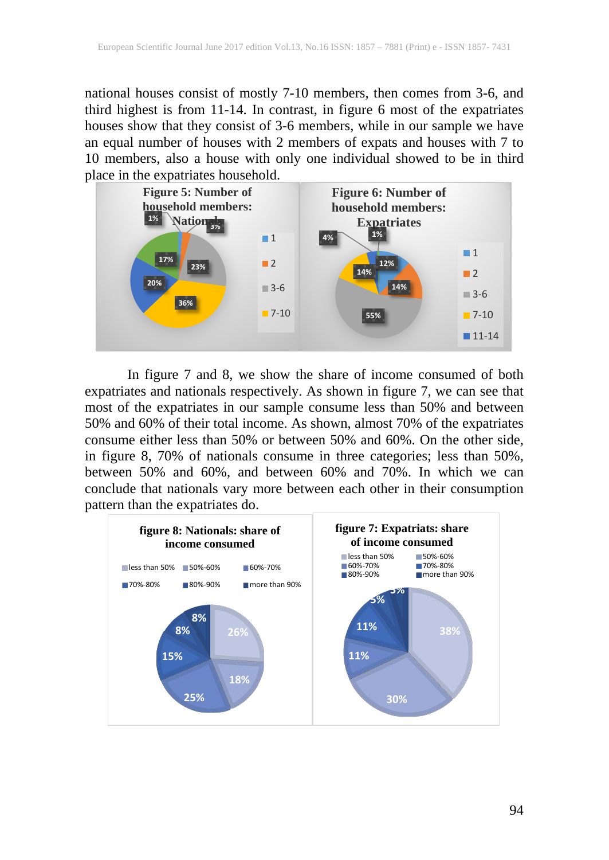national houses consist of mostly 7-10 members, then comes from 3-6, and third highest is from 11-14. In contrast, in figure 6 most of the expatriates houses show that they consist of 3-6 members, while in our sample we have an equal number of houses with 2 members of expats and houses with 7 to 10 members, also a house with only one individual showed to be in third place in the expatriates household.



In figure 7 and 8, we show the share of income consumed of both expatriates and nationals respectively. As shown in figure 7, we can see that most of the expatriates in our sample consume less than 50% and between 50% and 60% of their total income. As shown, almost 70% of the expatriates consume either less than 50% or between 50% and 60%. On the other side, in figure 8, 70% of nationals consume in three categories; less than 50%, between 50% and 60%, and between 60% and 70%. In which we can conclude that nationals vary more between each other in their consumption pattern than the expatriates do.

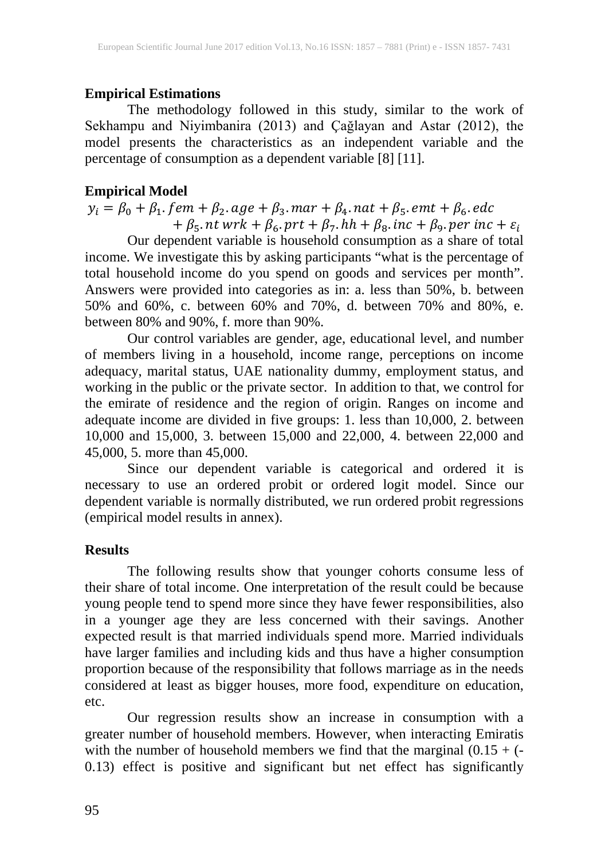## **Empirical Estimations**

The methodology followed in this study, similar to the work of Sekhampu and Niyimbanira (2013) and Çağlayan and Astar (2012), the model presents the characteristics as an independent variable and the percentage of consumption as a dependent variable [8] [11].

#### **Empirical Model**

 $y_i = \beta_0 + \beta_1$ .  $fem + \beta_2$ .  $age + \beta_3$ .  $mar + \beta_4$ .  $nat + \beta_5$ .  $emt + \beta_6$ .  $edc$ 

 $+ \beta_5$ . nt wrk  $+ \beta_6$ . prt  $+ \beta_7$ . hh  $+ \beta_8$ . inc  $+ \beta_9$ . per inc  $+ \varepsilon_i$ Our dependent variable is household consumption as a share of total income. We investigate this by asking participants "what is the percentage of total household income do you spend on goods and services per month". Answers were provided into categories as in: a. less than 50%, b. between 50% and 60%, c. between 60% and 70%, d. between 70% and 80%, e. between 80% and 90%, f. more than 90%.

Our control variables are gender, age, educational level, and number of members living in a household, income range, perceptions on income adequacy, marital status, UAE nationality dummy, employment status, and working in the public or the private sector. In addition to that, we control for the emirate of residence and the region of origin. Ranges on income and adequate income are divided in five groups: 1. less than 10,000, 2. between 10,000 and 15,000, 3. between 15,000 and 22,000, 4. between 22,000 and 45,000, 5. more than 45,000.

Since our dependent variable is categorical and ordered it is necessary to use an ordered probit or ordered logit model. Since our dependent variable is normally distributed, we run ordered probit regressions (empirical model results in annex).

#### **Results**

The following results show that younger cohorts consume less of their share of total income. One interpretation of the result could be because young people tend to spend more since they have fewer responsibilities, also in a younger age they are less concerned with their savings. Another expected result is that married individuals spend more. Married individuals have larger families and including kids and thus have a higher consumption proportion because of the responsibility that follows marriage as in the needs considered at least as bigger houses, more food, expenditure on education, etc.

Our regression results show an increase in consumption with a greater number of household members. However, when interacting Emiratis with the number of household members we find that the marginal  $(0.15 + (-1.000)(0.15))$ 0.13) effect is positive and significant but net effect has significantly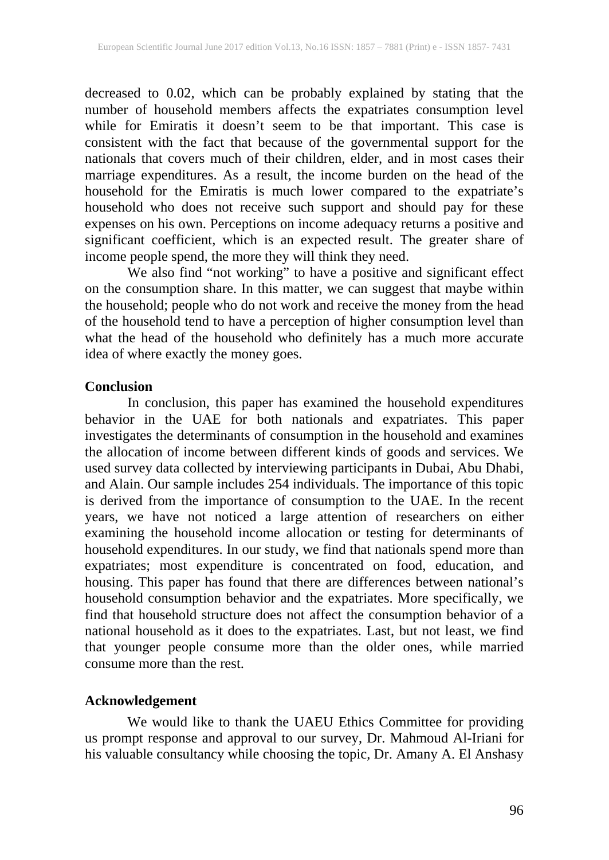decreased to 0.02, which can be probably explained by stating that the number of household members affects the expatriates consumption level while for Emiratis it doesn't seem to be that important. This case is consistent with the fact that because of the governmental support for the nationals that covers much of their children, elder, and in most cases their marriage expenditures. As a result, the income burden on the head of the household for the Emiratis is much lower compared to the expatriate's household who does not receive such support and should pay for these expenses on his own. Perceptions on income adequacy returns a positive and significant coefficient, which is an expected result. The greater share of income people spend, the more they will think they need.

We also find "not working" to have a positive and significant effect on the consumption share. In this matter, we can suggest that maybe within the household; people who do not work and receive the money from the head of the household tend to have a perception of higher consumption level than what the head of the household who definitely has a much more accurate idea of where exactly the money goes.

#### **Conclusion**

In conclusion, this paper has examined the household expenditures behavior in the UAE for both nationals and expatriates. This paper investigates the determinants of consumption in the household and examines the allocation of income between different kinds of goods and services. We used survey data collected by interviewing participants in Dubai, Abu Dhabi, and Alain. Our sample includes 254 individuals. The importance of this topic is derived from the importance of consumption to the UAE. In the recent years, we have not noticed a large attention of researchers on either examining the household income allocation or testing for determinants of household expenditures. In our study, we find that nationals spend more than expatriates; most expenditure is concentrated on food, education, and housing. This paper has found that there are differences between national's household consumption behavior and the expatriates. More specifically, we find that household structure does not affect the consumption behavior of a national household as it does to the expatriates. Last, but not least, we find that younger people consume more than the older ones, while married consume more than the rest.

#### **Acknowledgement**

We would like to thank the UAEU Ethics Committee for providing us prompt response and approval to our survey, Dr. Mahmoud Al-Iriani for his valuable consultancy while choosing the topic, Dr. Amany A. El Anshasy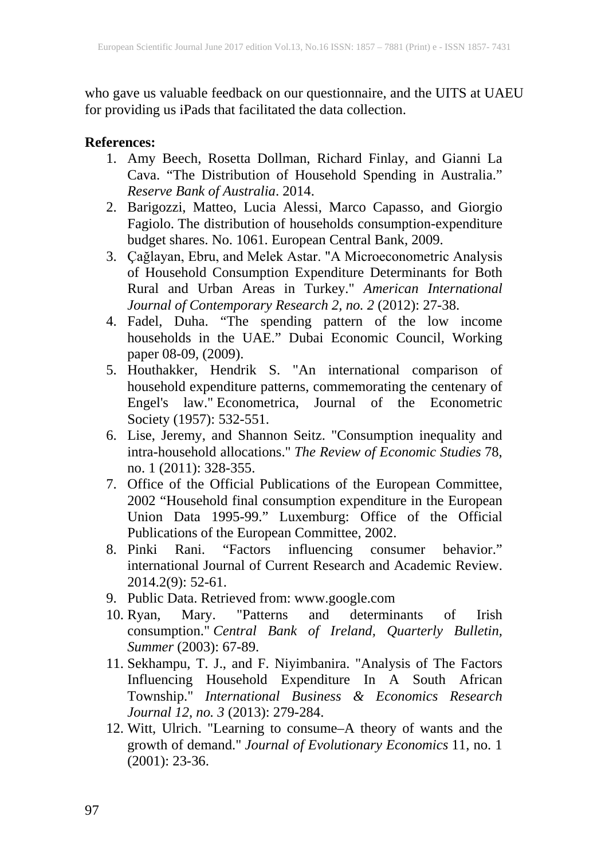who gave us valuable feedback on our questionnaire, and the UITS at UAEU for providing us iPads that facilitated the data collection.

## **References:**

- 1. Amy Beech, Rosetta Dollman, Richard Finlay, and Gianni La Cava. "The Distribution of Household Spending in Australia." *Reserve Bank of Australia*. 2014.
- 2. Barigozzi, Matteo, Lucia Alessi, Marco Capasso, and Giorgio Fagiolo. The distribution of households consumption-expenditure budget shares. No. 1061. European Central Bank, 2009.
- 3. Çağlayan, Ebru, and Melek Astar. "A Microeconometric Analysis of Household Consumption Expenditure Determinants for Both Rural and Urban Areas in Turkey." *American International Journal of Contemporary Research 2, no. 2* (2012): 27-38.
- 4. Fadel, Duha. "The spending pattern of the low income households in the UAE." Dubai Economic Council, Working paper 08-09, (2009).
- 5. Houthakker, Hendrik S. "An international comparison of household expenditure patterns, commemorating the centenary of Engel's law." Econometrica, Journal of the Econometric Society (1957): 532-551.
- 6. Lise, Jeremy, and Shannon Seitz. "Consumption inequality and intra-household allocations." *The Review of Economic Studies* 78, no. 1 (2011): 328-355.
- 7. Office of the Official Publications of the European Committee, 2002 "Household final consumption expenditure in the European Union Data 1995-99." Luxemburg: Office of the Official Publications of the European Committee, 2002.
- 8. Pinki Rani. "Factors influencing consumer behavior." international Journal of Current Research and Academic Review. 2014.2(9): 52-61.
- 9. Public Data. Retrieved from: www.google.com<br>10. Ryan, Mary. "Patterns and determin
- 10. Ryan, Mary. "Patterns and determinants of Irish consumption." *Central Bank of Ireland, Quarterly Bulletin, Summer* (2003): 67-89.
- 11. Sekhampu, T. J., and F. Niyimbanira. "Analysis of The Factors Influencing Household Expenditure In A South African Township." *International Business & Economics Research Journal 12, no. 3* (2013): 279-284.
- 12. Witt, Ulrich. "Learning to consume–A theory of wants and the growth of demand." *Journal of Evolutionary Economics* 11, no. 1  $(2001): 23-36.$